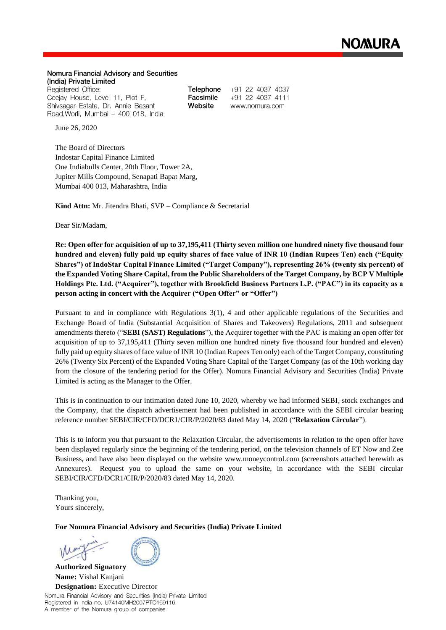## Nomura Financial Advisory and Securities (India) Private Limited

Registered Office: Ceejay House, Level 11, Plot F, Shivsagar Estate, Dr. Annie Besant Road, Worli, Mumbai - 400 018, India Telephone +91 22 4037 4037 Facsimile +91 22 4037 4111 Website www.nomura.com

June 26, 2020

The Board of Directors Indostar Capital Finance Limited One Indiabulls Center, 20th Floor, Tower 2A, Jupiter Mills Compound, Senapati Bapat Marg, Mumbai 400 013, Maharashtra, India

**Kind Attn:** Mr. Jitendra Bhati, SVP – Compliance & Secretarial

Dear Sir/Madam,

**Re: Open offer for acquisition of up to 37,195,411 (Thirty seven million one hundred ninety five thousand four hundred and eleven) fully paid up equity shares of face value of INR 10 (Indian Rupees Ten) each ("Equity Shares") of IndoStar Capital Finance Limited ("Target Company"), representing 26% (twenty six percent) of the Expanded Voting Share Capital, from the Public Shareholders of the Target Company, by BCP V Multiple Holdings Pte. Ltd. ("Acquirer"), together with Brookfield Business Partners L.P. ("PAC") in its capacity as a person acting in concert with the Acquirer ("Open Offer" or "Offer")**

Pursuant to and in compliance with Regulations 3(1), 4 and other applicable regulations of the Securities and Exchange Board of India (Substantial Acquisition of Shares and Takeovers) Regulations, 2011 and subsequent amendments thereto ("**SEBI (SAST) Regulations**"), the Acquirer together with the PAC is making an open offer for acquisition of up to 37,195,411 (Thirty seven million one hundred ninety five thousand four hundred and eleven) fully paid up equity shares of face value of INR 10 (Indian Rupees Ten only) each of the Target Company, constituting 26% (Twenty Six Percent) of the Expanded Voting Share Capital of the Target Company (as of the 10th working day from the closure of the tendering period for the Offer). Nomura Financial Advisory and Securities (India) Private Limited is acting as the Manager to the Offer.

This is in continuation to our intimation dated June 10, 2020, whereby we had informed SEBI, stock exchanges and the Company, that the dispatch advertisement had been published in accordance with the SEBI circular bearing reference number SEBI/CIR/CFD/DCR1/CIR/P/2020/83 dated May 14, 2020 ("**Relaxation Circular**").

This is to inform you that pursuant to the Relaxation Circular, the advertisements in relation to the open offer have been displayed regularly since the beginning of the tendering period, on the television channels of ET Now and Zee Business, and have also been displayed on the website www.moneycontrol.com (screenshots attached herewith as Annexures). Request you to upload the same on your website, in accordance with the SEBI circular SEBI/CIR/CFD/DCR1/CIR/P/2020/83 dated May 14, 2020.

Thanking you, Yours sincerely,

**For Nomura Financial Advisory and Securities (India) Private Limited**

**Authorized Signatory Name:** Vishal Kanjani **Designation:** Executive Director

Nomura Financial Advisory and Securities (India) Private Limited Registered in India no. U74140MH2007PTC169116. A member of the Nomura group of companies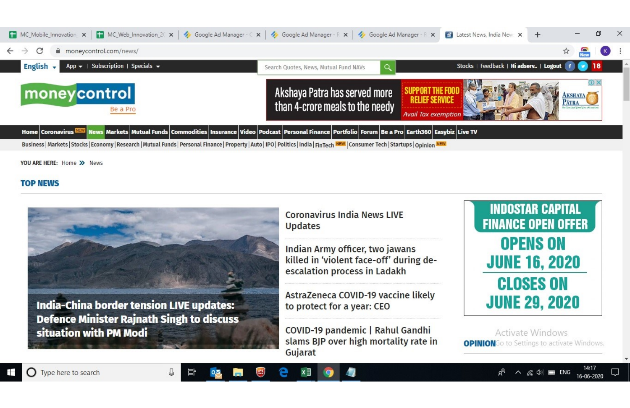

YOU ARE HERE: Home >> News

## **TOP NEWS**



Indian Army officer, two jawans killed in 'violent face-off' during deescalation process in Ladakh

AstraZeneca COVID-19 vaccine likely

COVID-19 pandemic | Rahul Gandhi slams BJP over high mortality rate in Gujarat

**INDOSTAR CAPITAL FINANCE OPEN OFFER OPENS ON JUNE 16, 2020 CLOSES ON JUNE 29, 2020** 

Activate Windows **OPINION**Go to Settings to activate Windows.

 $\land$   $\in$   $\circ$   $\Box$  ENG

16-06-2020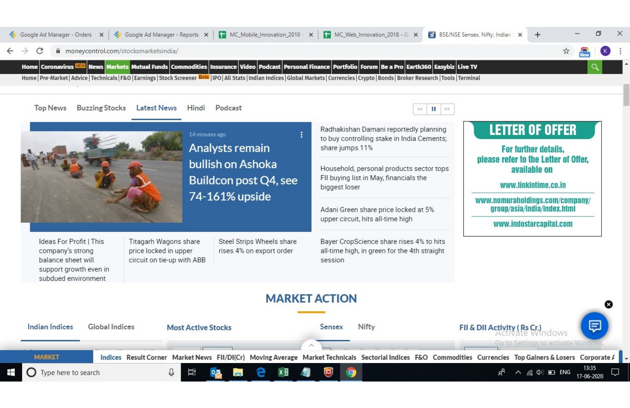